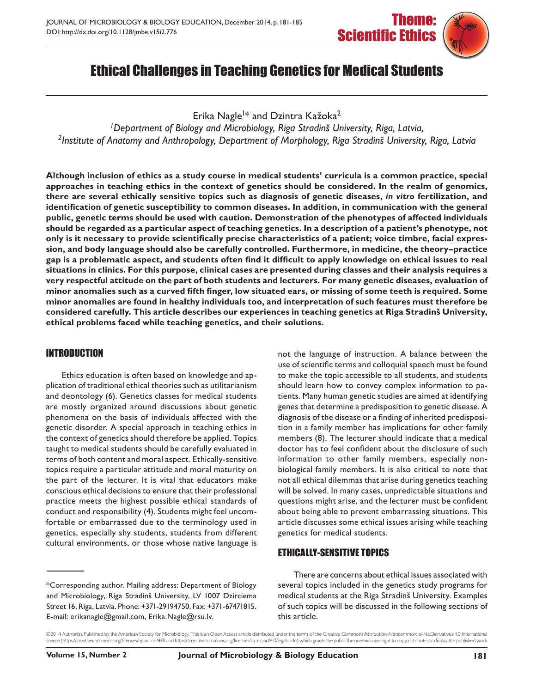

# Ethical Challenges in Teaching Genetics for Medical Students

Erika Nagle<sup>1\*</sup> and Dzintra Kažoka<sup>2</sup>

*1Department of Biology and Microbiology, Riga Stradinš University, Riga, Latvia, 2Institute of Anatomy and Anthropology, Department of Morphology, Riga Stradinš University, Riga, Latvia*

**Although inclusion of ethics as a study course in medical students' curricula is a common practice, special approaches in teaching ethics in the context of genetics should be considered. In the realm of genomics, there are several ethically sensitive topics such as diagnosis of genetic diseases,** *in vitro* **fertilization, and identification of genetic susceptibility to common diseases. In addition, in communication with the general public, genetic terms should be used with caution. Demonstration of the phenotypes of affected individuals should be regarded as a particular aspect of teaching genetics. In a description of a patient's phenotype, not only is it necessary to provide scientifically precise characteristics of a patient; voice timbre, facial expression, and body language should also be carefully controlled. Furthermore, in medicine, the theory–practice gap is a problematic aspect, and students often find it difficult to apply knowledge on ethical issues to real situations in clinics. For this purpose, clinical cases are presented during classes and their analysis requires a very respectful attitude on the part of both students and lecturers. For many genetic diseases, evaluation of minor anomalies such as a curved fifth finger, low situated ears, or missing of some teeth is required. Some minor anomalies are found in healthy individuals too, and interpretation of such features must therefore be considered carefully. This article describes our experiences in teaching genetics at Riga Stradinš University, ethical problems faced while teaching genetics, and their solutions.**

# INTRODUCTION

Ethics education is often based on knowledge and application of traditional ethical theories such as utilitarianism and deontology (6). Genetics classes for medical students are mostly organized around discussions about genetic phenomena on the basis of individuals affected with the genetic disorder. A special approach in teaching ethics in the context of genetics should therefore be applied. Topics taught to medical students should be carefully evaluated in terms of both content and moral aspect. Ethically-sensitive topics require a particular attitude and moral maturity on the part of the lecturer. It is vital that educators make conscious ethical decisions to ensure that their professional practice meets the highest possible ethical standards of conduct and responsibility (4). Students might feel uncomfortable or embarrassed due to the terminology used in genetics, especially shy students, students from different cultural environments, or those whose native language is

\*Corresponding author. Mailing address: Department of Biology and Microbiology, Riga Stradinš University, LV 1007 Dzirciema Street 16, Riga, Latvia. Phone: +371-29194750. Fax: +371-67471815. E-mail: erikanagle@gmail.com, Erika.Nagle@rsu.lv.

not the language of instruction. A balance between the use of scientific terms and colloquial speech must be found to make the topic accessible to all students, and students should learn how to convey complex information to patients. Many human genetic studies are aimed at identifying genes that determine a predisposition to genetic disease. A diagnosis of the disease or a finding of inherited predisposition in a family member has implications for other family members (8). The lecturer should indicate that a medical doctor has to feel confident about the disclosure of such information to other family members, especially nonbiological family members. It is also critical to note that not all ethical dilemmas that arise during genetics teaching will be solved. In many cases, unpredictable situations and questions might arise, and the lecturer must be confident about being able to prevent embarrassing situations. This article discusses some ethical issues arising while teaching genetics for medical students.

# ETHICALLY-SENSITIVE TOPICS

There are concerns about ethical issues associated with several topics included in the genetics study programs for medical students at the Riga Stradinš University. Examples of such topics will be discussed in the following sections of this article.

<sup>©2014</sup> Author(s). Published by the American Society for Microbiology. This is an Open Access article distributed under the terms of the Creative Commons Attribution-Noncommercial-NoDerivatives 4.0 International license (<https://creativecommons.org/licenses/by-nc-nd/4.0/>and [https://creativecommons.org/licenses/by-nc-nd/4.0/legalcode\)](https://creativecommons.org/licenses/by-nc-nd/4.0/legalcode), which grants the public the nonexclusive right to copy, distribute, or display the published wor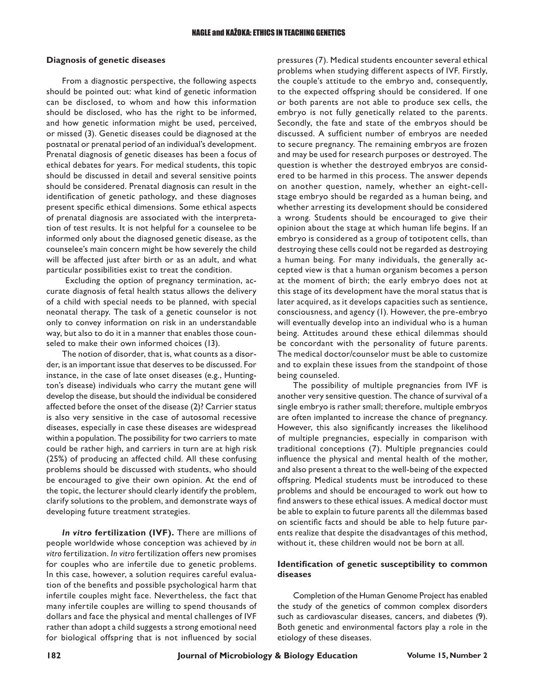#### **Diagnosis of genetic diseases**

From a diagnostic perspective, the following aspects should be pointed out: what kind of genetic information can be disclosed, to whom and how this information should be disclosed, who has the right to be informed, and how genetic information might be used, perceived, or missed (3). Genetic diseases could be diagnosed at the postnatal or prenatal period of an individual's development. Prenatal diagnosis of genetic diseases has been a focus of ethical debates for years. For medical students, this topic should be discussed in detail and several sensitive points should be considered. Prenatal diagnosis can result in the identification of genetic pathology, and these diagnoses present specific ethical dimensions. Some ethical aspects of prenatal diagnosis are associated with the interpretation of test results. It is not helpful for a counselee to be informed only about the diagnosed genetic disease, as the counselee's main concern might be how severely the child will be affected just after birth or as an adult, and what particular possibilities exist to treat the condition.

 Excluding the option of pregnancy termination, accurate diagnosis of fetal health status allows the delivery of a child with special needs to be planned, with special neonatal therapy. The task of a genetic counselor is not only to convey information on risk in an understandable way, but also to do it in a manner that enables those counseled to make their own informed choices (13).

The notion of disorder, that is, what counts as a disorder, is an important issue that deserves to be discussed. For instance, in the case of late onset diseases (e.g., Huntington's disease) individuals who carry the mutant gene will develop the disease, but should the individual be considered affected before the onset of the disease (2)? Carrier status is also very sensitive in the case of autosomal recessive diseases, especially in case these diseases are widespread within a population. The possibility for two carriers to mate could be rather high, and carriers in turn are at high risk (25%) of producing an affected child. All these confusing problems should be discussed with students, who should be encouraged to give their own opinion. At the end of the topic, the lecturer should clearly identify the problem, clarify solutions to the problem, and demonstrate ways of developing future treatment strategies.

*In vitro* **fertilization (IVF).** There are millions of people worldwide whose conception was achieved by *in vitro* fertilization. *In vitro* fertilization offers new promises for couples who are infertile due to genetic problems. In this case, however, a solution requires careful evaluation of the benefits and possible psychological harm that infertile couples might face. Nevertheless, the fact that many infertile couples are willing to spend thousands of dollars and face the physical and mental challenges of IVF rather than adopt a child suggests a strong emotional need for biological offspring that is not influenced by social pressures (7). Medical students encounter several ethical problems when studying different aspects of IVF. Firstly, the couple's attitude to the embryo and, consequently, to the expected offspring should be considered. If one or both parents are not able to produce sex cells, the embryo is not fully genetically related to the parents. Secondly, the fate and state of the embryos should be discussed. A sufficient number of embryos are needed to secure pregnancy. The remaining embryos are frozen and may be used for research purposes or destroyed. The question is whether the destroyed embryos are considered to be harmed in this process. The answer depends on another question, namely, whether an eight-cellstage embryo should be regarded as a human being, and whether arresting its development should be considered a wrong. Students should be encouraged to give their opinion about the stage at which human life begins. If an embryo is considered as a group of totipotent cells, than destroying these cells could not be regarded as destroying a human being. For many individuals, the generally accepted view is that a human organism becomes a person at the moment of birth; the early embryo does not at this stage of its development have the moral status that is later acquired, as it develops capacities such as sentience, consciousness, and agency (1). However, the pre-embryo will eventually develop into an individual who is a human being. Attitudes around these ethical dilemmas should be concordant with the personality of future parents. The medical doctor/counselor must be able to customize and to explain these issues from the standpoint of those being counseled.

The possibility of multiple pregnancies from IVF is another very sensitive question. The chance of survival of a single embryo is rather small; therefore, multiple embryos are often implanted to increase the chance of pregnancy. However, this also significantly increases the likelihood of multiple pregnancies, especially in comparison with traditional conceptions (7). Multiple pregnancies could influence the physical and mental health of the mother, and also present a threat to the well-being of the expected offspring. Medical students must be introduced to these problems and should be encouraged to work out how to find answers to these ethical issues. A medical doctor must be able to explain to future parents all the dilemmas based on scientific facts and should be able to help future parents realize that despite the disadvantages of this method, without it, these children would not be born at all.

## **Identification of genetic susceptibility to common diseases**

Completion of the Human Genome Project has enabled the study of the genetics of common complex disorders such as cardiovascular diseases, cancers, and diabetes (9). Both genetic and environmental factors play a role in the etiology of these diseases.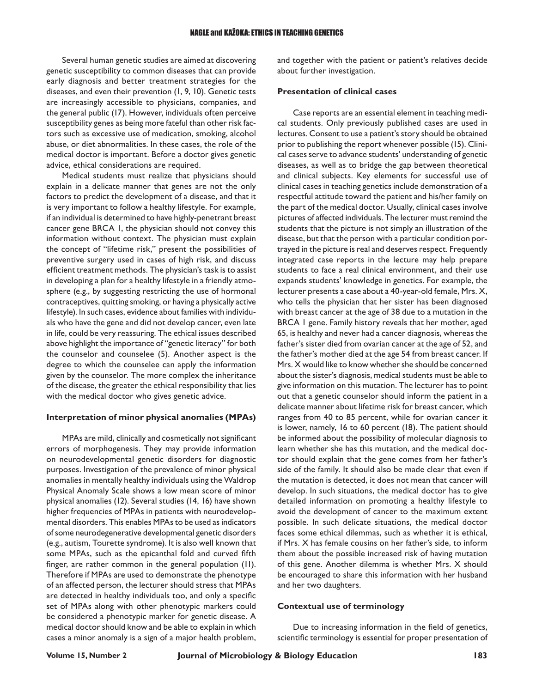Several human genetic studies are aimed at discovering genetic susceptibility to common diseases that can provide early diagnosis and better treatment strategies for the diseases, and even their prevention (1, 9, 10). Genetic tests are increasingly accessible to physicians, companies, and the general public (17). However, individuals often perceive susceptibility genes as being more fateful than other risk factors such as excessive use of medication, smoking, alcohol abuse, or diet abnormalities. In these cases, the role of the medical doctor is important. Before a doctor gives genetic advice, ethical considerations are required.

Medical students must realize that physicians should explain in a delicate manner that genes are not the only factors to predict the development of a disease, and that it is very important to follow a healthy lifestyle. For example, if an individual is determined to have highly-penetrant breast cancer gene BRCA 1, the physician should not convey this information without context. The physician must explain the concept of "lifetime risk," present the possibilities of preventive surgery used in cases of high risk, and discuss efficient treatment methods. The physician's task is to assist in developing a plan for a healthy lifestyle in a friendly atmosphere (e.g., by suggesting restricting the use of hormonal contraceptives, quitting smoking, or having a physically active lifestyle). In such cases, evidence about families with individuals who have the gene and did not develop cancer, even late in life, could be very reassuring. The ethical issues described above highlight the importance of "genetic literacy" for both the counselor and counselee (5). Another aspect is the degree to which the counselee can apply the information given by the counselor. The more complex the inheritance of the disease, the greater the ethical responsibility that lies with the medical doctor who gives genetic advice.

#### **Interpretation of minor physical anomalies (MPAs)**

MPAs are mild, clinically and cosmetically not significant errors of morphogenesis. They may provide information on neurodevelopmental genetic disorders for diagnostic purposes. Investigation of the prevalence of minor physical anomalies in mentally healthy individuals using the Waldrop Physical Anomaly Scale shows a low mean score of minor physical anomalies (12). Several studies (14, 16) have shown higher frequencies of MPAs in patients with neurodevelopmental disorders. This enables MPAs to be used as indicators of some neurodegenerative developmental genetic disorders (e.g., autism, Tourette syndrome). It is also well known that some MPAs, such as the epicanthal fold and curved fifth finger, are rather common in the general population (11). Therefore if MPAs are used to demonstrate the phenotype of an affected person, the lecturer should stress that MPAs are detected in healthy individuals too, and only a specific set of MPAs along with other phenotypic markers could be considered a phenotypic marker for genetic disease. A medical doctor should know and be able to explain in which cases a minor anomaly is a sign of a major health problem, and together with the patient or patient's relatives decide about further investigation.

## **Presentation of clinical cases**

Case reports are an essential element in teaching medical students. Only previously published cases are used in lectures. Consent to use a patient's story should be obtained prior to publishing the report whenever possible (15). Clinical cases serve to advance students' understanding of genetic diseases, as well as to bridge the gap between theoretical and clinical subjects. Key elements for successful use of clinical cases in teaching genetics include demonstration of a respectful attitude toward the patient and his/her family on the part of the medical doctor. Usually, clinical cases involve pictures of affected individuals. The lecturer must remind the students that the picture is not simply an illustration of the disease, but that the person with a particular condition portrayed in the picture is real and deserves respect. Frequently integrated case reports in the lecture may help prepare students to face a real clinical environment, and their use expands students' knowledge in genetics. For example, the lecturer presents a case about a 40-year-old female, Mrs. X, who tells the physician that her sister has been diagnosed with breast cancer at the age of 38 due to a mutation in the BRCA 1 gene. Family history reveals that her mother, aged 65, is healthy and never had a cancer diagnosis, whereas the father's sister died from ovarian cancer at the age of 52, and the father's mother died at the age 54 from breast cancer. If Mrs. X would like to know whether she should be concerned about the sister's diagnosis, medical students must be able to give information on this mutation. The lecturer has to point out that a genetic counselor should inform the patient in a delicate manner about lifetime risk for breast cancer, which ranges from 40 to 85 percent, while for ovarian cancer it is lower, namely, 16 to 60 percent (18). The patient should be informed about the possibility of molecular diagnosis to learn whether she has this mutation, and the medical doctor should explain that the gene comes from her father's side of the family. It should also be made clear that even if the mutation is detected, it does not mean that cancer will develop. In such situations, the medical doctor has to give detailed information on promoting a healthy lifestyle to avoid the development of cancer to the maximum extent possible. In such delicate situations, the medical doctor faces some ethical dilemmas, such as whether it is ethical, if Mrs. X has female cousins on her father's side, to inform them about the possible increased risk of having mutation of this gene. Another dilemma is whether Mrs. X should be encouraged to share this information with her husband and her two daughters.

#### **Contextual use of terminology**

Due to increasing information in the field of genetics, scientific terminology is essential for proper presentation of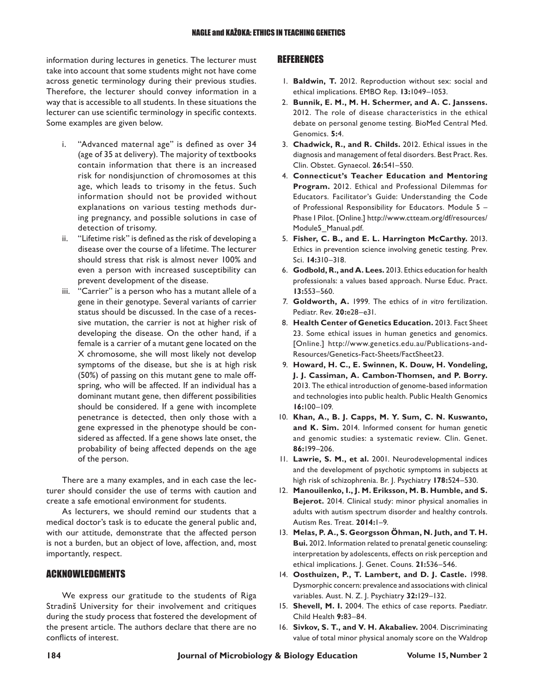information during lectures in genetics. The lecturer must take into account that some students might not have come across genetic terminology during their previous studies. Therefore, the lecturer should convey information in a way that is accessible to all students. In these situations the lecturer can use scientific terminology in specific contexts. Some examples are given below.

- i. "Advanced maternal age" is defined as over 34 (age of 35 at delivery). The majority of textbooks contain information that there is an increased risk for nondisjunction of chromosomes at this age, which leads to trisomy in the fetus. Such information should not be provided without explanations on various testing methods during pregnancy, and possible solutions in case of detection of trisomy.
- ii. "Lifetime risk" is defined as the risk of developing a disease over the course of a lifetime. The lecturer should stress that risk is almost never 100% and even a person with increased susceptibility can prevent development of the disease.
- iii. "Carrier" is a person who has a mutant allele of a gene in their genotype. Several variants of carrier status should be discussed. In the case of a recessive mutation, the carrier is not at higher risk of developing the disease. On the other hand, if a female is a carrier of a mutant gene located on the X chromosome, she will most likely not develop symptoms of the disease, but she is at high risk (50%) of passing on this mutant gene to male offspring, who will be affected. If an individual has a dominant mutant gene, then different possibilities should be considered. If a gene with incomplete penetrance is detected, then only those with a gene expressed in the phenotype should be considered as affected. If a gene shows late onset, the probability of being affected depends on the age of the person.

There are a many examples, and in each case the lecturer should consider the use of terms with caution and create a safe emotional environment for students.

As lecturers, we should remind our students that a medical doctor's task is to educate the general public and, with our attitude, demonstrate that the affected person is not a burden, but an object of love, affection, and, most importantly, respect.

## ACKNOWLEDGMENTS

We express our gratitude to the students of Riga Stradinš University for their involvement and critiques during the study process that fostered the development of the present article. The authors declare that there are no conflicts of interest.

## REFERENCES

- 1. **[Baldwin, T](http://www.ncbi.nlm.nih.gov/pubmed?term=Baldwin T%5BAuthor%5D&cauthor=true&cauthor_uid=23146884).** 2012. Reproduction without sex: social and ethical implications. [EMBO Rep.](http://www.ncbi.nlm.nih.gov/pubmed/23146884) **13:**1049–1053.
- 2. **Bunnik, E. M., M. H. Schermer, and A. C. Janssens.**  2012. The role of disease characteristics in the ethical debate on personal genome testing. BioMed Central Med. Genomics. **5:**4.
- 3. **[Chadwick, R](http://www.ncbi.nlm.nih.gov/pubmed?term=Chadwick R%5BAuthor%5D&cauthor=true&cauthor_uid=22901734)., and R. [Childs](http://www.ncbi.nlm.nih.gov/pubmed?term=Childs R%5BAuthor%5D&cauthor=true&cauthor_uid=22901734).** 2012. Ethical issues in the diagnosis and management of fetal disorders. [Best Pract. Res.](http://www.ncbi.nlm.nih.gov/pubmed/22901734) [Clin. Obstet. Gynaecol.](http://www.ncbi.nlm.nih.gov/pubmed/22901734) **26:**541–550.
- 4. **Connecticut's Teacher Education and Mentoring Program.** 2012. Ethical and Professional Dilemmas for Educators*.* Facilitator's Guide: Understanding the Code of Professional Responsibility for Educators. Module 5 – Phase I Pilot. [Online.] [http://www.ctteam.org/df/resources/](http://www.ctteam.org/df/resources/Module5_Manual.pdf) [Module5\\_Manual.pdf.](http://www.ctteam.org/df/resources/Module5_Manual.pdf)
- 5. **[Fisher, C. B](http://www.ncbi.nlm.nih.gov/pubmed?term=Fisher CB%5BAuthor%5D&cauthor=true&cauthor_uid=23354905)., and E. L. [Harrington McCarthy.](http://www.ncbi.nlm.nih.gov/pubmed?term=Harrington McCarthy EL%5BAuthor%5D&cauthor=true&cauthor_uid=23354905)** 2013. Ethics in prevention science involving genetic testing. [Prev.](http://www.ncbi.nlm.nih.gov/pubmed/23354905) [Sci.](http://www.ncbi.nlm.nih.gov/pubmed/23354905) **14:**310–318.
- 6. **[Godbold, R](http://www.ncbi.nlm.nih.gov/pubmed?term=Godbold R%5BAuthor%5D&cauthor=true&cauthor_uid=23517926)., and A. [Lees.](http://www.ncbi.nlm.nih.gov/pubmed?term=Lees A%5BAuthor%5D&cauthor=true&cauthor_uid=23517926)** 2013. Ethics education for health professionals: a values based approach. [Nurse Educ. Pract.](http://www.ncbi.nlm.nih.gov/pubmed/23517926)  **13:**553–560.
- 7. **[Goldworth,](http://pedsinreview.aappublications.org/search?author1=Amnon+Goldworth&sortspec=date&submit=Submit) A.** 1999. The ethics of *in vitro* fertilization. Pediatr. Rev. **20:**e28–e31.
- 8. **Health Center of Genetics Education.** 2013. Fact Sheet 23. Some ethical issues in human genetics and genomics. [Online.] [http://www.genetics.edu.au/Publications-and-](http://www.genetics.edu.au/Publications-and-Resources/Genetics-Fact-Sheets/FactSheet23)[Resources/Genetics-Fact-Sheets/FactSheet23](http://www.genetics.edu.au/Publications-and-Resources/Genetics-Fact-Sheets/FactSheet23).
- 9. **Howard, H. C., E. Swinnen, K. Douw, H. Vondeling, J. J. Cassiman, A. Cambon-Thomsen, and P. Borry.**  2013. The ethical introduction of genome-based information and technologies into public health. Public Health Genomics **16:**100–109.
- 10. **[Khan, A.](http://www.ncbi.nlm.nih.gov/pubmed?term=Khan A%5BAuthor%5D&cauthor=true&cauthor_uid=24646408), B. J. [Capps,](http://www.ncbi.nlm.nih.gov/pubmed?term=Capps BJ%5BAuthor%5D&cauthor=true&cauthor_uid=24646408) M. Y. [Sum](http://www.ncbi.nlm.nih.gov/pubmed?term=Sum MY%5BAuthor%5D&cauthor=true&cauthor_uid=24646408), C. N. [Kuswanto,](http://www.ncbi.nlm.nih.gov/pubmed?term=Kuswanto CN%5BAuthor%5D&cauthor=true&cauthor_uid=24646408) and K. [Sim.](http://www.ncbi.nlm.nih.gov/pubmed?term=Sim K%5BAuthor%5D&cauthor=true&cauthor_uid=24646408)** 2014. Informed consent for human genetic and genomic studies: a systematic review. [Clin. Genet.](http://www.ncbi.nlm.nih.gov/pubmed/24646408) **86:**199–206.
- 11. **[Lawrie, S. M.](http://www.ncbi.nlm.nih.gov/pubmed?term=Lawrie SM%5BAuthor%5D&cauthor=true&cauthor_uid=11388968), et al.** 2001. Neurodevelopmental indices and the development of psychotic symptoms in subjects at high risk of schizophrenia. [Br. J. Psychiatry](http://www.ncbi.nlm.nih.gov/pubmed/11388968) **178:**524–530.
- 12. **Manouilenko, I., J. M. Eriksson, M. B. Humble, and S. Bejerot.** 2014. Clinical study: minor physical anomalies in adults with autism spectrum disorder and healthy controls. Autism Res. Treat. **2014:**1–9.
- 13. **[Melas, P. A.](http://www.ncbi.nlm.nih.gov/pubmed?term=Melas PA%5BAuthor%5D&cauthor=true&cauthor_uid=22037899), S. [Georgsson Öhman,](http://www.ncbi.nlm.nih.gov/pubmed?term=Georgsson %C3%96hman S%5BAuthor%5D&cauthor=true&cauthor_uid=22037899) N. [Juth](http://www.ncbi.nlm.nih.gov/pubmed?term=Juth N%5BAuthor%5D&cauthor=true&cauthor_uid=22037899), and T. H. [Bui](http://www.ncbi.nlm.nih.gov/pubmed?term=Bui TH%5BAuthor%5D&cauthor=true&cauthor_uid=22037899).** 2012. Information related to prenatal genetic counseling: interpretation by adolescents, effects on risk perception and ethical implications. [J. Genet. Couns.](http://www.ncbi.nlm.nih.gov/pubmed/22037899) **21:**536–546.
- 14. **[Oosthuizen, P](http://www.ncbi.nlm.nih.gov/pubmed?term=Oosthuizen P%5BAuthor%5D&cauthor=true&cauthor_uid=9565194)., T. [Lambert](http://www.ncbi.nlm.nih.gov/pubmed?term=Lambert T%5BAuthor%5D&cauthor=true&cauthor_uid=9565194), and D. J. [Castle.](http://www.ncbi.nlm.nih.gov/pubmed?term=Castle DJ%5BAuthor%5D&cauthor=true&cauthor_uid=9565194)** 1998. Dysmorphic concern: prevalence and associations with clinical variables. [Aust. N. Z. J. Psychiatry](http://www.ncbi.nlm.nih.gov/pubmed/9565194) **32:**129–132.
- 15. **Shevell, M. I.** 2004. The ethics of case reports. Paediatr. Child Health **9:**83–84.
- 16. **[Sivkov, S. T.](http://www.ncbi.nlm.nih.gov/pubmed?term=Sivkov ST%5BAuthor%5D&cauthor=true&cauthor_uid=15279053), and V. H. [Akabaliev](http://www.ncbi.nlm.nih.gov/pubmed?term=Akabaliev VH%5BAuthor%5D&cauthor=true&cauthor_uid=15279053).** 2004. Discriminating value of total minor physical anomaly score on the Waldrop